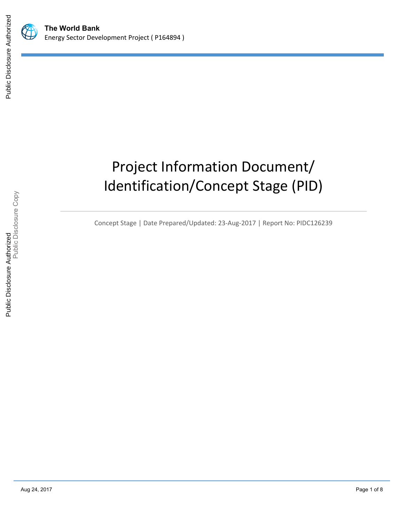

# Project Information Document/ Identification/Concept Stage (PID)

Concept Stage | Date Prepared/Updated: 23-Aug-2017 | Report No: PIDC126239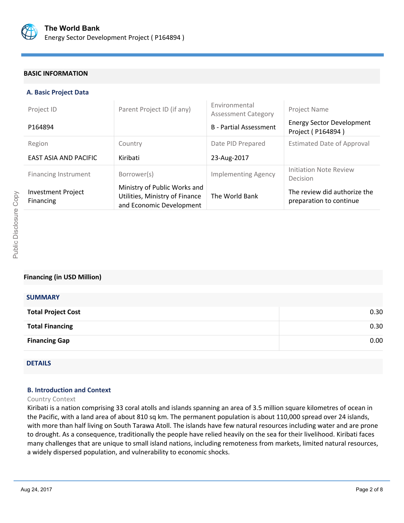

### **BASIC INFORMATION**

### **A. Basic Project Data**

| Project ID                                    | Parent Project ID (if any)                                                                 | Environmental<br><b>Assessment Category</b> | Project Name                                            |
|-----------------------------------------------|--------------------------------------------------------------------------------------------|---------------------------------------------|---------------------------------------------------------|
| P164894                                       |                                                                                            | <b>B</b> - Partial Assessment               | <b>Energy Sector Development</b><br>Project (P164894)   |
| Region                                        | Country                                                                                    | Date PID Prepared                           | <b>Estimated Date of Approval</b>                       |
| <b>EAST ASIA AND PACIFIC</b>                  | Kiribati                                                                                   | 23-Aug-2017                                 |                                                         |
| Financing Instrument                          | Borrower(s)                                                                                | <b>Implementing Agency</b>                  | Initiation Note Review<br>Decision                      |
| <b>Investment Project</b><br><b>Financing</b> | Ministry of Public Works and<br>Utilities, Ministry of Finance<br>and Economic Development | The World Bank                              | The review did authorize the<br>preparation to continue |

### **Financing (in USD Million)**

| <b>SUMMARY</b>            |      |
|---------------------------|------|
| <b>Total Project Cost</b> | 0.30 |
| <b>Total Financing</b>    | 0.30 |
| <b>Financing Gap</b>      | 0.00 |
|                           |      |

## DETAILS

### **B. Introduction and Context**

### Country Context

Kiribati is a nation comprising 33 coral atolls and islands spanning an area of 3.5 million square kilometres of ocean in the Pacific, with a land area of about 810 sq km. The permanent population is about 110,000 spread over 24 islands, with more than half living on South Tarawa Atoll. The islands have few natural resources including water and are prone to drought. As a consequence, traditionally the people have relied heavily on the sea for their livelihood. Kiribati faces many challenges that are unique to small island nations, including remoteness from markets, limited natural resources, a widely dispersed population, and vulnerability to economic shocks.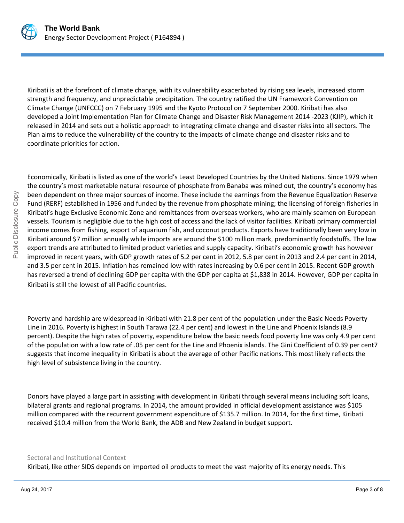

Kiribati is at the forefront of climate change, with its vulnerability exacerbated by rising sea levels, increased storm strength and frequency, and unpredictable precipitation. The country ratified the UN Framework Convention on Climate Change (UNFCCC) on 7 February 1995 and the Kyoto Protocol on 7 September 2000. Kiribati has also developed a Joint Implementation Plan for Climate Change and Disaster Risk Management 2014 -2023 (KJIP), which it released in 2014 and sets out a holistic approach to integrating climate change and disaster risks into all sectors. The Plan aims to reduce the vulnerability of the country to the impacts of climate change and disaster risks and to coordinate priorities for action.

Economically, Kiribati is listed as one of the world's Least Developed Countries by the United Nations. Since 1979 when the country's most marketable natural resource of phosphate from Banaba was mined out, the country's economy has been dependent on three major sources of income. These include the earnings from the Revenue Equalization Reserve Fund (RERF) established in 1956 and funded by the revenue from phosphate mining; the licensing of foreign fisheries in Kiribati's huge Exclusive Economic Zone and remittances from overseas workers, who are mainly seamen on European vessels. Tourism is negligible due to the high cost of access and the lack of visitor facilities. Kiribati primary commercial income comes from fishing, export of aquarium fish, and coconut products. Exports have traditionally been very low in Kiribati around \$7 million annually while imports are around the \$100 million mark, predominantly foodstuffs. The low export trends are attributed to limited product varieties and supply capacity. Kiribati's economic growth has however improved in recent years, with GDP growth rates of 5.2 per cent in 2012, 5.8 per cent in 2013 and 2.4 per cent in 2014, and 3.5 per cent in 2015. Inflation has remained low with rates increasing by 0.6 per cent in 2015. Recent GDP growth has reversed a trend of declining GDP per capita with the GDP per capita at \$1,838 in 2014. However, GDP per capita in Kiribati is still the lowest of all Pacific countries.

Poverty and hardship are widespread in Kiribati with 21.8 per cent of the population under the Basic Needs Poverty Line in 2016. Poverty is highest in South Tarawa (22.4 per cent) and lowest in the Line and Phoenix Islands (8.9 percent). Despite the high rates of poverty, expenditure below the basic needs food poverty line was only 4.9 per cent of the population with a low rate of .05 per cent for the Line and Phoenix islands. The Gini Coefficient of 0.39 per cent7 suggests that income inequality in Kiribati is about the average of other Pacific nations. This most likely reflects the high level of subsistence living in the country.

Donors have played a large part in assisting with development in Kiribati through several means including soft loans, bilateral grants and regional programs. In 2014, the amount provided in official development assistance was \$105 million compared with the recurrent government expenditure of \$135.7 million. In 2014, for the first time, Kiribati received \$10.4 million from the World Bank, the ADB and New Zealand in budget support.

### Sectoral and Institutional Context

Kiribati, like other SIDS depends on imported oil products to meet the vast majority of its energy needs. This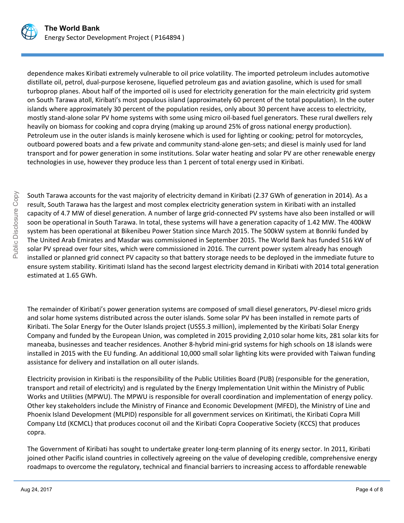

dependence makes Kiribati extremely vulnerable to oil price volatility. The imported petroleum includes automotive distillate oil, petrol, dual-purpose kerosene, liquefied petroleum gas and aviation gasoline, which is used for small turboprop planes. About half of the imported oil is used for electricity generation for the main electricity grid system on South Tarawa atoll, Kiribati's most populous island (approximately 60 percent of the total population). In the outer islands where approximately 30 percent of the population resides, only about 30 percent have access to electricity, mostly stand-alone solar PV home systems with some using micro oil-based fuel generators. These rural dwellers rely heavily on biomass for cooking and copra drying (making up around 25% of gross national energy production). Petroleum use in the outer islands is mainly kerosene which is used for lighting or cooking; petrol for motorcycles, outboard powered boats and a few private and community stand-alone gen-sets; and diesel is mainly used for land transport and for power generation in some institutions. Solar water heating and solar PV are other renewable energy technologies in use, however they produce less than 1 percent of total energy used in Kiribati.

South Tarawa accounts for the vast majority of electricity demand in Kiribati (2.37 GWh of generation in 2014). As a result, South Tarawa has the largest and most complex electricity generation system in Kiribati with an installed capacity of 4.7 MW of diesel generation. A number of large grid-connected PV systems have also been installed or will soon be operational in South Tarawa. In total, these systems will have a generation capacity of 1.42 MW. The 400kW system has been operational at Bikenibeu Power Station since March 2015. The 500kW system at Bonriki funded by The United Arab Emirates and Masdar was commissioned in September 2015. The World Bank has funded 516 kW of solar PV spread over four sites, which were commissioned in 2016. The current power system already has enough installed or planned grid connect PV capacity so that battery storage needs to be deployed in the immediate future to ensure system stability. Kiritimati Island has the second largest electricity demand in Kiribati with 2014 total generation estimated at 1.65 GWh.

The remainder of Kiribati's power generation systems are composed of small diesel generators, PV-diesel micro grids and solar home systems distributed across the outer islands. Some solar PV has been installed in remote parts of Kiribati. The Solar Energy for the Outer Islands project (US\$5.3 million), implemented by the Kiribati Solar Energy Company and funded by the European Union, was completed in 2015 providing 2,010 solar home kits, 281 solar kits for maneaba, businesses and teacher residences. Another 8-hybrid mini-grid systems for high schools on 18 islands were installed in 2015 with the EU funding. An additional 10,000 small solar lighting kits were provided with Taiwan funding assistance for delivery and installation on all outer islands.

Electricity provision in Kiribati is the responsibility of the Public Utilities Board (PUB) (responsible for the generation, transport and retail of electricity) and is regulated by the Energy Implementation Unit within the Ministry of Public Works and Utilities (MPWU). The MPWU is responsible for overall coordination and implementation of energy policy. Other key stakeholders include the Ministry of Finance and Economic Development (MFED), the Ministry of Line and Phoenix Island Development (MLPID) responsible for all government services on Kiritimati, the Kiribati Copra Mill Company Ltd (KCMCL) that produces coconut oil and the Kiribati Copra Cooperative Society (KCCS) that produces copra.

The Government of Kiribati has sought to undertake greater long-term planning of its energy sector. In 2011, Kiribati joined other Pacific island countries in collectively agreeing on the value of developing credible, comprehensive energy roadmaps to overcome the regulatory, technical and financial barriers to increasing access to affordable renewable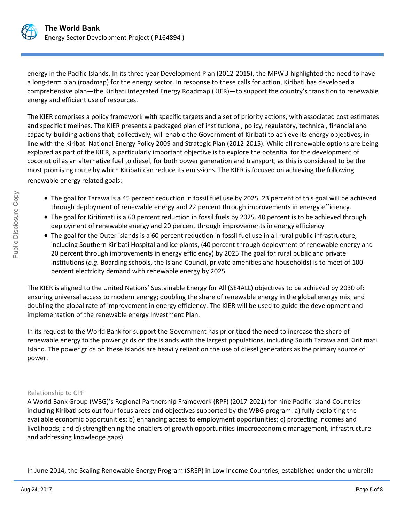

energy in the Pacific Islands. In its three-year Development Plan (2012-2015), the MPWU highlighted the need to have a long-term plan (roadmap) for the energy sector. In response to these calls for action, Kiribati has developed a comprehensive plan—the Kiribati Integrated Energy Roadmap (KIER)—to support the country's transition to renewable energy and efficient use of resources.

The KIER comprises a policy framework with specific targets and a set of priority actions, with associated cost estimates and specific timelines. The KIER presents a packaged plan of institutional, policy, regulatory, technical, financial and capacity-building actions that, collectively, will enable the Government of Kiribati to achieve its energy objectives, in line with the Kiribati National Energy Policy 2009 and Strategic Plan (2012-2015). While all renewable options are being explored as part of the KIER, a particularly important objective is to explore the potential for the development of coconut oil as an alternative fuel to diesel, for both power generation and transport, as this is considered to be the most promising route by which Kiribati can reduce its emissions. The KIER is focused on achieving the following renewable energy related goals:

- The goal for Tarawa is a 45 percent reduction in fossil fuel use by 2025. 23 percent of this goal will be achieved through deployment of renewable energy and 22 percent through improvements in energy efficiency.
- The goal for Kiritimati is a 60 percent reduction in fossil fuels by 2025. 40 percent is to be achieved through deployment of renewable energy and 20 percent through improvements in energy efficiency
- The goal for the Outer Islands is a 60 percent reduction in fossil fuel use in all rural public infrastructure, including Southern Kiribati Hospital and ice plants, (40 percent through deployment of renewable energy and 20 percent through improvements in energy efficiency) by 2025 The goal for rural public and private institutions (*e.g.* Boarding schools, the Island Council, private amenities and households) is to meet of 100 percent electricity demand with renewable energy by 2025

The KIER is aligned to the United Nations' Sustainable Energy for All (SE4ALL) objectives to be achieved by 2030 of: ensuring universal access to modern energy; doubling the share of renewable energy in the global energy mix; and doubling the global rate of improvement in energy efficiency. The KIER will be used to guide the development and implementation of the renewable energy Investment Plan.

In its request to the World Bank for support the Government has prioritized the need to increase the share of renewable energy to the power grids on the islands with the largest populations, including South Tarawa and Kiritimati Island. The power grids on these islands are heavily reliant on the use of diesel generators as the primary source of power.

### Relationship to CPF

A World Bank Group (WBG)'s Regional Partnership Framework (RPF) (2017-2021) for nine Pacific Island Countries including Kiribati sets out four focus areas and objectives supported by the WBG program: a) fully exploiting the available economic opportunities; b) enhancing access to employment opportunities; c) protecting incomes and livelihoods; and d) strengthening the enablers of growth opportunities (macroeconomic management, infrastructure and addressing knowledge gaps).

In June 2014, the Scaling Renewable Energy Program (SREP) in Low Income Countries, established under the umbrella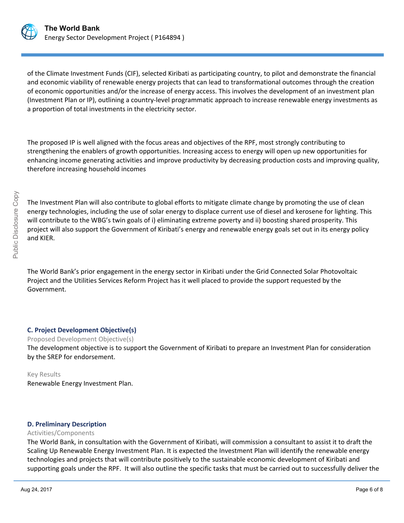

of the Climate Investment Funds (CIF), selected Kiribati as participating country, to pilot and demonstrate the financial and economic viability of renewable energy projects that can lead to transformational outcomes through the creation of economic opportunities and/or the increase of energy access. This involves the development of an investment plan (Investment Plan or IP), outlining a country-level programmatic approach to increase renewable energy investments as a proportion of total investments in the electricity sector.

The proposed IP is well aligned with the focus areas and objectives of the RPF, most strongly contributing to strengthening the enablers of growth opportunities. Increasing access to energy will open up new opportunities for enhancing income generating activities and improve productivity by decreasing production costs and improving quality, therefore increasing household incomes

The Investment Plan will also contribute to global efforts to mitigate climate change by promoting the use of clean energy technologies, including the use of solar energy to displace current use of diesel and kerosene for lighting. This will contribute to the WBG's twin goals of i) eliminating extreme poverty and ii) boosting shared prosperity. This project will also support the Government of Kiribati's energy and renewable energy goals set out in its energy policy and KIER.

The World Bank's prior engagement in the energy sector in Kiribati under the Grid Connected Solar Photovoltaic Project and the Utilities Services Reform Project has it well placed to provide the support requested by the Government.

### **C. Project Development Objective(s)**

Proposed Development Objective(s)

The development objective is to support the Government of Kiribati to prepare an Investment Plan for consideration by the SREP for endorsement.

# Key Results

Renewable Energy Investment Plan.

### **D. Preliminary Description**

### Activities/Components

The World Bank, in consultation with the Government of Kiribati, will commission a consultant to assist it to draft the Scaling Up Renewable Energy Investment Plan. It is expected the Investment Plan will identify the renewable energy technologies and projects that will contribute positively to the sustainable economic development of Kiribati and supporting goals under the RPF. It will also outline the specific tasks that must be carried out to successfully deliver the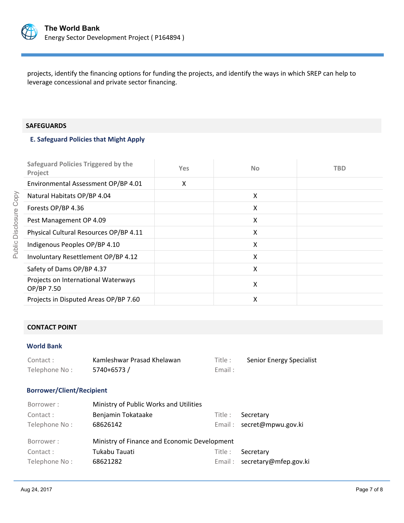

projects, identify the financing options for funding the projects, and identify the ways in which SREP can help to leverage concessional and private sector financing.

### **SAFEGUARDS**

### **E. Safeguard Policies that Might Apply**

| Safeguard Policies Triggered by the<br>Project    | <b>Yes</b> | <b>No</b> | TBD |
|---------------------------------------------------|------------|-----------|-----|
| Environmental Assessment OP/BP 4.01               | Χ          |           |     |
| Natural Habitats OP/BP 4.04                       |            | X         |     |
| Forests OP/BP 4.36                                |            | X         |     |
| Pest Management OP 4.09                           |            | X         |     |
| Physical Cultural Resources OP/BP 4.11            |            | X         |     |
| Indigenous Peoples OP/BP 4.10                     |            | X         |     |
| Involuntary Resettlement OP/BP 4.12               |            | X         |     |
| Safety of Dams OP/BP 4.37                         |            | X         |     |
| Projects on International Waterways<br>OP/BP 7.50 |            | X         |     |
| Projects in Disputed Areas OP/BP 7.60             |            | х         |     |

# **CONTACT POINT**

### **World Bank**

| Contact:      | Kamleshwar Prasad Khelawan | Title : | Senior Energy Specialist |
|---------------|----------------------------|---------|--------------------------|
| Telephone No: | 5740+6573/                 | Email:  |                          |

### **Borrower/Client/Recipient**

| Borrower:                 | Ministry of Public Works and Utilities       |         |                                        |
|---------------------------|----------------------------------------------|---------|----------------------------------------|
| Contact:<br>Telephone No: | Benjamin Tokataake<br>68626142               | Title : | Secretary<br>Email: secret@mpwu.gov.ki |
| Borrower:                 | Ministry of Finance and Economic Development |         |                                        |
| Contact:                  | Tukabu Tauati                                | Title : | Secretary                              |
| Telephone No:             | 68621282                                     |         | Email: secretary@mfep.gov.ki           |